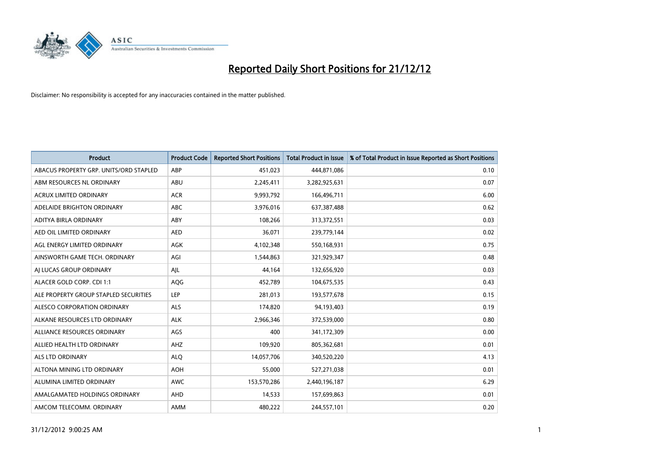

| <b>Product</b>                         | <b>Product Code</b> | <b>Reported Short Positions</b> | <b>Total Product in Issue</b> | % of Total Product in Issue Reported as Short Positions |
|----------------------------------------|---------------------|---------------------------------|-------------------------------|---------------------------------------------------------|
| ABACUS PROPERTY GRP. UNITS/ORD STAPLED | ABP                 | 451,023                         | 444,871,086                   | 0.10                                                    |
| ABM RESOURCES NL ORDINARY              | ABU                 | 2,245,411                       | 3,282,925,631                 | 0.07                                                    |
| <b>ACRUX LIMITED ORDINARY</b>          | <b>ACR</b>          | 9,993,792                       | 166,496,711                   | 6.00                                                    |
| ADELAIDE BRIGHTON ORDINARY             | <b>ABC</b>          | 3,976,016                       | 637,387,488                   | 0.62                                                    |
| <b>ADITYA BIRLA ORDINARY</b>           | ABY                 | 108.266                         | 313,372,551                   | 0.03                                                    |
| AED OIL LIMITED ORDINARY               | <b>AED</b>          | 36,071                          | 239,779,144                   | 0.02                                                    |
| AGL ENERGY LIMITED ORDINARY            | AGK                 | 4,102,348                       | 550,168,931                   | 0.75                                                    |
| AINSWORTH GAME TECH. ORDINARY          | AGI                 | 1,544,863                       | 321,929,347                   | 0.48                                                    |
| AJ LUCAS GROUP ORDINARY                | AJL                 | 44,164                          | 132,656,920                   | 0.03                                                    |
| ALACER GOLD CORP. CDI 1:1              | AQG                 | 452,789                         | 104,675,535                   | 0.43                                                    |
| ALE PROPERTY GROUP STAPLED SECURITIES  | LEP                 | 281,013                         | 193,577,678                   | 0.15                                                    |
| <b>ALESCO CORPORATION ORDINARY</b>     | ALS                 | 174,820                         | 94,193,403                    | 0.19                                                    |
| ALKANE RESOURCES LTD ORDINARY          | <b>ALK</b>          | 2,966,346                       | 372,539,000                   | 0.80                                                    |
| ALLIANCE RESOURCES ORDINARY            | AGS                 | 400                             | 341,172,309                   | 0.00                                                    |
| ALLIED HEALTH LTD ORDINARY             | AHZ                 | 109,920                         | 805,362,681                   | 0.01                                                    |
| <b>ALS LTD ORDINARY</b>                | <b>ALO</b>          | 14,057,706                      | 340,520,220                   | 4.13                                                    |
| ALTONA MINING LTD ORDINARY             | <b>AOH</b>          | 55,000                          | 527,271,038                   | 0.01                                                    |
| ALUMINA LIMITED ORDINARY               | <b>AWC</b>          | 153,570,286                     | 2,440,196,187                 | 6.29                                                    |
| AMALGAMATED HOLDINGS ORDINARY          | AHD                 | 14,533                          | 157,699,863                   | 0.01                                                    |
| AMCOM TELECOMM, ORDINARY               | <b>AMM</b>          | 480.222                         | 244.557.101                   | 0.20                                                    |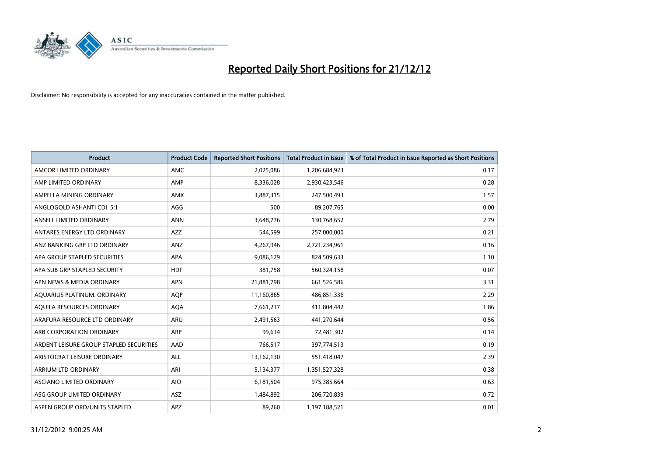

| <b>Product</b>                          | <b>Product Code</b> | <b>Reported Short Positions</b> | <b>Total Product in Issue</b> | % of Total Product in Issue Reported as Short Positions |
|-----------------------------------------|---------------------|---------------------------------|-------------------------------|---------------------------------------------------------|
| AMCOR LIMITED ORDINARY                  | <b>AMC</b>          | 2,025,086                       | 1,206,684,923                 | 0.17                                                    |
| AMP LIMITED ORDINARY                    | AMP                 | 8,336,028                       | 2,930,423,546                 | 0.28                                                    |
| AMPELLA MINING ORDINARY                 | <b>AMX</b>          | 3,887,315                       | 247,500,493                   | 1.57                                                    |
| ANGLOGOLD ASHANTI CDI 5:1               | AGG                 | 500                             | 89,207,765                    | 0.00                                                    |
| ANSELL LIMITED ORDINARY                 | <b>ANN</b>          | 3,648,776                       | 130,768,652                   | 2.79                                                    |
| ANTARES ENERGY LTD ORDINARY             | <b>AZZ</b>          | 544,599                         | 257,000,000                   | 0.21                                                    |
| ANZ BANKING GRP LTD ORDINARY            | ANZ                 | 4,267,946                       | 2,721,234,961                 | 0.16                                                    |
| APA GROUP STAPLED SECURITIES            | <b>APA</b>          | 9,086,129                       | 824,509,633                   | 1.10                                                    |
| APA SUB GRP STAPLED SECURITY            | <b>HDF</b>          | 381,758                         | 560,324,158                   | 0.07                                                    |
| APN NEWS & MEDIA ORDINARY               | <b>APN</b>          | 21,881,798                      | 661,526,586                   | 3.31                                                    |
| AQUARIUS PLATINUM. ORDINARY             | <b>AOP</b>          | 11,160,865                      | 486,851,336                   | 2.29                                                    |
| AQUILA RESOURCES ORDINARY               | <b>AQA</b>          | 7,661,237                       | 411,804,442                   | 1.86                                                    |
| ARAFURA RESOURCE LTD ORDINARY           | <b>ARU</b>          | 2,491,563                       | 441,270,644                   | 0.56                                                    |
| ARB CORPORATION ORDINARY                | <b>ARP</b>          | 99.634                          | 72,481,302                    | 0.14                                                    |
| ARDENT LEISURE GROUP STAPLED SECURITIES | AAD                 | 766,517                         | 397,774,513                   | 0.19                                                    |
| ARISTOCRAT LEISURE ORDINARY             | <b>ALL</b>          | 13,162,130                      | 551,418,047                   | 2.39                                                    |
| ARRIUM LTD ORDINARY                     | ARI                 | 5,134,377                       | 1,351,527,328                 | 0.38                                                    |
| ASCIANO LIMITED ORDINARY                | <b>AIO</b>          | 6,181,504                       | 975,385,664                   | 0.63                                                    |
| ASG GROUP LIMITED ORDINARY              | <b>ASZ</b>          | 1,484,892                       | 206,720,839                   | 0.72                                                    |
| ASPEN GROUP ORD/UNITS STAPLED           | <b>APZ</b>          | 89.260                          | 1,197,188,521                 | 0.01                                                    |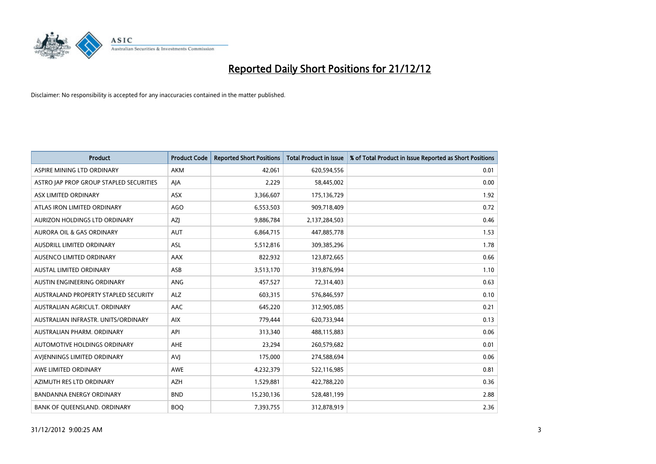

| <b>Product</b>                          | <b>Product Code</b> | <b>Reported Short Positions</b> | <b>Total Product in Issue</b> | % of Total Product in Issue Reported as Short Positions |
|-----------------------------------------|---------------------|---------------------------------|-------------------------------|---------------------------------------------------------|
| ASPIRE MINING LTD ORDINARY              | <b>AKM</b>          | 42.061                          | 620,594,556                   | 0.01                                                    |
| ASTRO JAP PROP GROUP STAPLED SECURITIES | AJA                 | 2,229                           | 58,445,002                    | 0.00                                                    |
| ASX LIMITED ORDINARY                    | <b>ASX</b>          | 3,366,607                       | 175,136,729                   | 1.92                                                    |
| ATLAS IRON LIMITED ORDINARY             | AGO                 | 6,553,503                       | 909,718,409                   | 0.72                                                    |
| AURIZON HOLDINGS LTD ORDINARY           | <b>AZI</b>          | 9,886,784                       | 2,137,284,503                 | 0.46                                                    |
| <b>AURORA OIL &amp; GAS ORDINARY</b>    | <b>AUT</b>          | 6,864,715                       | 447,885,778                   | 1.53                                                    |
| AUSDRILL LIMITED ORDINARY               | ASL                 | 5,512,816                       | 309,385,296                   | 1.78                                                    |
| <b>AUSENCO LIMITED ORDINARY</b>         | AAX                 | 822,932                         | 123,872,665                   | 0.66                                                    |
| <b>AUSTAL LIMITED ORDINARY</b>          | ASB                 | 3,513,170                       | 319,876,994                   | 1.10                                                    |
| AUSTIN ENGINEERING ORDINARY             | <b>ANG</b>          | 457,527                         | 72,314,403                    | 0.63                                                    |
| AUSTRALAND PROPERTY STAPLED SECURITY    | <b>ALZ</b>          | 603,315                         | 576,846,597                   | 0.10                                                    |
| AUSTRALIAN AGRICULT. ORDINARY           | AAC                 | 645,220                         | 312,905,085                   | 0.21                                                    |
| AUSTRALIAN INFRASTR, UNITS/ORDINARY     | <b>AIX</b>          | 779,444                         | 620,733,944                   | 0.13                                                    |
| AUSTRALIAN PHARM, ORDINARY              | API                 | 313,340                         | 488,115,883                   | 0.06                                                    |
| AUTOMOTIVE HOLDINGS ORDINARY            | <b>AHE</b>          | 23,294                          | 260,579,682                   | 0.01                                                    |
| AVJENNINGS LIMITED ORDINARY             | AVJ                 | 175,000                         | 274,588,694                   | 0.06                                                    |
| AWE LIMITED ORDINARY                    | AWE                 | 4,232,379                       | 522,116,985                   | 0.81                                                    |
| AZIMUTH RES LTD ORDINARY                | <b>AZH</b>          | 1,529,881                       | 422,788,220                   | 0.36                                                    |
| <b>BANDANNA ENERGY ORDINARY</b>         | <b>BND</b>          | 15,230,136                      | 528,481,199                   | 2.88                                                    |
| BANK OF QUEENSLAND. ORDINARY            | <b>BOQ</b>          | 7,393,755                       | 312,878,919                   | 2.36                                                    |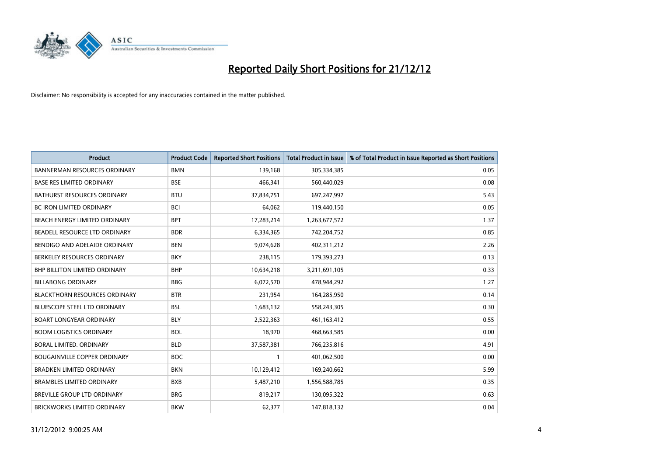

| <b>Product</b>                       | <b>Product Code</b> | <b>Reported Short Positions</b> | <b>Total Product in Issue</b> | % of Total Product in Issue Reported as Short Positions |
|--------------------------------------|---------------------|---------------------------------|-------------------------------|---------------------------------------------------------|
| <b>BANNERMAN RESOURCES ORDINARY</b>  | <b>BMN</b>          | 139,168                         | 305,334,385                   | 0.05                                                    |
| <b>BASE RES LIMITED ORDINARY</b>     | <b>BSE</b>          | 466,341                         | 560,440,029                   | 0.08                                                    |
| <b>BATHURST RESOURCES ORDINARY</b>   | <b>BTU</b>          | 37,834,751                      | 697,247,997                   | 5.43                                                    |
| <b>BC IRON LIMITED ORDINARY</b>      | <b>BCI</b>          | 64,062                          | 119,440,150                   | 0.05                                                    |
| BEACH ENERGY LIMITED ORDINARY        | <b>BPT</b>          | 17,283,214                      | 1,263,677,572                 | 1.37                                                    |
| BEADELL RESOURCE LTD ORDINARY        | <b>BDR</b>          | 6,334,365                       | 742,204,752                   | 0.85                                                    |
| BENDIGO AND ADELAIDE ORDINARY        | <b>BEN</b>          | 9,074,628                       | 402,311,212                   | 2.26                                                    |
| BERKELEY RESOURCES ORDINARY          | <b>BKY</b>          | 238,115                         | 179,393,273                   | 0.13                                                    |
| <b>BHP BILLITON LIMITED ORDINARY</b> | <b>BHP</b>          | 10,634,218                      | 3,211,691,105                 | 0.33                                                    |
| <b>BILLABONG ORDINARY</b>            | <b>BBG</b>          | 6,072,570                       | 478,944,292                   | 1.27                                                    |
| <b>BLACKTHORN RESOURCES ORDINARY</b> | <b>BTR</b>          | 231,954                         | 164,285,950                   | 0.14                                                    |
| BLUESCOPE STEEL LTD ORDINARY         | <b>BSL</b>          | 1,683,132                       | 558,243,305                   | 0.30                                                    |
| <b>BOART LONGYEAR ORDINARY</b>       | <b>BLY</b>          | 2,522,363                       | 461,163,412                   | 0.55                                                    |
| <b>BOOM LOGISTICS ORDINARY</b>       | <b>BOL</b>          | 18,970                          | 468,663,585                   | 0.00                                                    |
| BORAL LIMITED, ORDINARY              | <b>BLD</b>          | 37,587,381                      | 766,235,816                   | 4.91                                                    |
| <b>BOUGAINVILLE COPPER ORDINARY</b>  | <b>BOC</b>          |                                 | 401,062,500                   | 0.00                                                    |
| <b>BRADKEN LIMITED ORDINARY</b>      | <b>BKN</b>          | 10,129,412                      | 169,240,662                   | 5.99                                                    |
| <b>BRAMBLES LIMITED ORDINARY</b>     | <b>BXB</b>          | 5,487,210                       | 1,556,588,785                 | 0.35                                                    |
| <b>BREVILLE GROUP LTD ORDINARY</b>   | <b>BRG</b>          | 819,217                         | 130,095,322                   | 0.63                                                    |
| BRICKWORKS LIMITED ORDINARY          | <b>BKW</b>          | 62,377                          | 147,818,132                   | 0.04                                                    |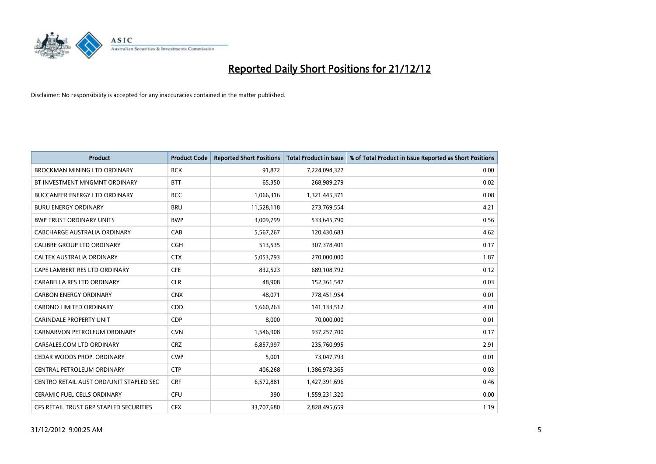

| <b>Product</b>                          | <b>Product Code</b> | <b>Reported Short Positions</b> | <b>Total Product in Issue</b> | % of Total Product in Issue Reported as Short Positions |
|-----------------------------------------|---------------------|---------------------------------|-------------------------------|---------------------------------------------------------|
| <b>BROCKMAN MINING LTD ORDINARY</b>     | <b>BCK</b>          | 91,872                          | 7,224,094,327                 | 0.00                                                    |
| BT INVESTMENT MNGMNT ORDINARY           | <b>BTT</b>          | 65,350                          | 268,989,279                   | 0.02                                                    |
| <b>BUCCANEER ENERGY LTD ORDINARY</b>    | <b>BCC</b>          | 1,066,316                       | 1,321,445,371                 | 0.08                                                    |
| <b>BURU ENERGY ORDINARY</b>             | <b>BRU</b>          | 11,528,118                      | 273,769,554                   | 4.21                                                    |
| <b>BWP TRUST ORDINARY UNITS</b>         | <b>BWP</b>          | 3,009,799                       | 533,645,790                   | 0.56                                                    |
| CABCHARGE AUSTRALIA ORDINARY            | CAB                 | 5,567,267                       | 120,430,683                   | 4.62                                                    |
| <b>CALIBRE GROUP LTD ORDINARY</b>       | <b>CGH</b>          | 513,535                         | 307,378,401                   | 0.17                                                    |
| CALTEX AUSTRALIA ORDINARY               | <b>CTX</b>          | 5,053,793                       | 270,000,000                   | 1.87                                                    |
| CAPE LAMBERT RES LTD ORDINARY           | <b>CFE</b>          | 832,523                         | 689,108,792                   | 0.12                                                    |
| CARABELLA RES LTD ORDINARY              | <b>CLR</b>          | 48,908                          | 152,361,547                   | 0.03                                                    |
| CARBON ENERGY ORDINARY                  | <b>CNX</b>          | 48,071                          | 778,451,954                   | 0.01                                                    |
| <b>CARDNO LIMITED ORDINARY</b>          | CDD                 | 5,660,263                       | 141,133,512                   | 4.01                                                    |
| <b>CARINDALE PROPERTY UNIT</b>          | <b>CDP</b>          | 8,000                           | 70,000,000                    | 0.01                                                    |
| CARNARVON PETROLEUM ORDINARY            | <b>CVN</b>          | 1,546,908                       | 937,257,700                   | 0.17                                                    |
| CARSALES.COM LTD ORDINARY               | <b>CRZ</b>          | 6,857,997                       | 235,760,995                   | 2.91                                                    |
| CEDAR WOODS PROP. ORDINARY              | <b>CWP</b>          | 5,001                           | 73,047,793                    | 0.01                                                    |
| CENTRAL PETROLEUM ORDINARY              | <b>CTP</b>          | 406,268                         | 1,386,978,365                 | 0.03                                                    |
| CENTRO RETAIL AUST ORD/UNIT STAPLED SEC | <b>CRF</b>          | 6,572,881                       | 1,427,391,696                 | 0.46                                                    |
| <b>CERAMIC FUEL CELLS ORDINARY</b>      | <b>CFU</b>          | 390                             | 1,559,231,320                 | 0.00                                                    |
| CFS RETAIL TRUST GRP STAPLED SECURITIES | <b>CFX</b>          | 33,707,680                      | 2,828,495,659                 | 1.19                                                    |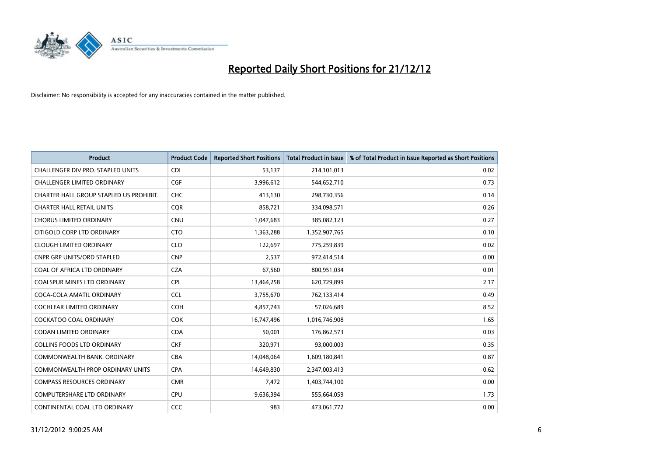

| <b>Product</b>                          | <b>Product Code</b> | <b>Reported Short Positions</b> | <b>Total Product in Issue</b> | % of Total Product in Issue Reported as Short Positions |
|-----------------------------------------|---------------------|---------------------------------|-------------------------------|---------------------------------------------------------|
| CHALLENGER DIV.PRO. STAPLED UNITS       | <b>CDI</b>          | 53,137                          | 214,101,013                   | 0.02                                                    |
| CHALLENGER LIMITED ORDINARY             | <b>CGF</b>          | 3,996,612                       | 544,652,710                   | 0.73                                                    |
| CHARTER HALL GROUP STAPLED US PROHIBIT. | <b>CHC</b>          | 413,130                         | 298,730,356                   | 0.14                                                    |
| <b>CHARTER HALL RETAIL UNITS</b>        | CQR                 | 858,721                         | 334,098,571                   | 0.26                                                    |
| <b>CHORUS LIMITED ORDINARY</b>          | <b>CNU</b>          | 1,047,683                       | 385,082,123                   | 0.27                                                    |
| CITIGOLD CORP LTD ORDINARY              | <b>CTO</b>          | 1,363,288                       | 1,352,907,765                 | 0.10                                                    |
| <b>CLOUGH LIMITED ORDINARY</b>          | <b>CLO</b>          | 122,697                         | 775,259,839                   | 0.02                                                    |
| <b>CNPR GRP UNITS/ORD STAPLED</b>       | <b>CNP</b>          | 2,537                           | 972,414,514                   | 0.00                                                    |
| COAL OF AFRICA LTD ORDINARY             | <b>CZA</b>          | 67,560                          | 800,951,034                   | 0.01                                                    |
| <b>COALSPUR MINES LTD ORDINARY</b>      | <b>CPL</b>          | 13,464,258                      | 620,729,899                   | 2.17                                                    |
| COCA-COLA AMATIL ORDINARY               | <b>CCL</b>          | 3,755,670                       | 762,133,414                   | 0.49                                                    |
| COCHLEAR LIMITED ORDINARY               | <b>COH</b>          | 4,857,743                       | 57,026,689                    | 8.52                                                    |
| <b>COCKATOO COAL ORDINARY</b>           | COK                 | 16,747,496                      | 1,016,746,908                 | 1.65                                                    |
| <b>CODAN LIMITED ORDINARY</b>           | <b>CDA</b>          | 50,001                          | 176,862,573                   | 0.03                                                    |
| <b>COLLINS FOODS LTD ORDINARY</b>       | <b>CKF</b>          | 320,971                         | 93,000,003                    | 0.35                                                    |
| COMMONWEALTH BANK, ORDINARY             | CBA                 | 14,048,064                      | 1,609,180,841                 | 0.87                                                    |
| <b>COMMONWEALTH PROP ORDINARY UNITS</b> | <b>CPA</b>          | 14,649,830                      | 2,347,003,413                 | 0.62                                                    |
| <b>COMPASS RESOURCES ORDINARY</b>       | <b>CMR</b>          | 7,472                           | 1,403,744,100                 | 0.00                                                    |
| <b>COMPUTERSHARE LTD ORDINARY</b>       | <b>CPU</b>          | 9,636,394                       | 555,664,059                   | 1.73                                                    |
| CONTINENTAL COAL LTD ORDINARY           | CCC                 | 983                             | 473,061,772                   | 0.00                                                    |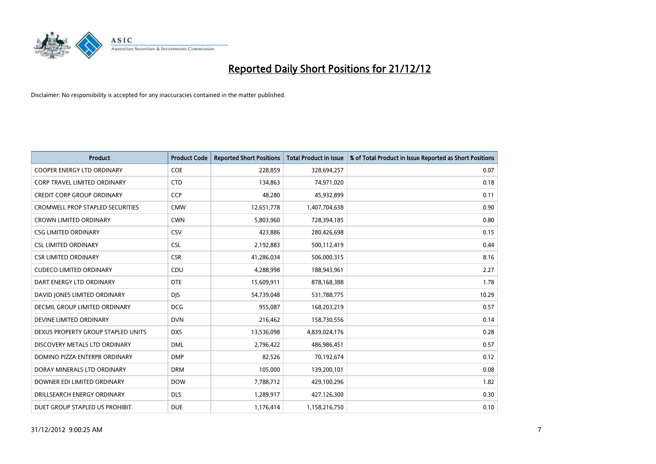

| <b>Product</b>                          | <b>Product Code</b> | <b>Reported Short Positions</b> | <b>Total Product in Issue</b> | % of Total Product in Issue Reported as Short Positions |
|-----------------------------------------|---------------------|---------------------------------|-------------------------------|---------------------------------------------------------|
| <b>COOPER ENERGY LTD ORDINARY</b>       | <b>COE</b>          | 228,859                         | 328,694,257                   | 0.07                                                    |
| CORP TRAVEL LIMITED ORDINARY            | <b>CTD</b>          | 134,863                         | 74,971,020                    | 0.18                                                    |
| <b>CREDIT CORP GROUP ORDINARY</b>       | <b>CCP</b>          | 48,280                          | 45,932,899                    | 0.11                                                    |
| <b>CROMWELL PROP STAPLED SECURITIES</b> | <b>CMW</b>          | 12,651,778                      | 1,407,704,638                 | 0.90                                                    |
| <b>CROWN LIMITED ORDINARY</b>           | <b>CWN</b>          | 5,803,960                       | 728,394,185                   | 0.80                                                    |
| <b>CSG LIMITED ORDINARY</b>             | CSV                 | 423,886                         | 280,426,698                   | 0.15                                                    |
| <b>CSL LIMITED ORDINARY</b>             | <b>CSL</b>          | 2,192,883                       | 500,112,419                   | 0.44                                                    |
| <b>CSR LIMITED ORDINARY</b>             | <b>CSR</b>          | 41,286,034                      | 506,000,315                   | 8.16                                                    |
| <b>CUDECO LIMITED ORDINARY</b>          | CDU                 | 4,288,998                       | 188,943,961                   | 2.27                                                    |
| DART ENERGY LTD ORDINARY                | <b>DTE</b>          | 15,609,911                      | 878,168,388                   | 1.78                                                    |
| DAVID JONES LIMITED ORDINARY            | <b>DJS</b>          | 54,739,048                      | 531,788,775                   | 10.29                                                   |
| <b>DECMIL GROUP LIMITED ORDINARY</b>    | <b>DCG</b>          | 955,087                         | 168,203,219                   | 0.57                                                    |
| DEVINE LIMITED ORDINARY                 | <b>DVN</b>          | 216,462                         | 158,730,556                   | 0.14                                                    |
| DEXUS PROPERTY GROUP STAPLED UNITS      | <b>DXS</b>          | 13,536,098                      | 4,839,024,176                 | 0.28                                                    |
| DISCOVERY METALS LTD ORDINARY           | <b>DML</b>          | 2,796,422                       | 486,986,451                   | 0.57                                                    |
| DOMINO PIZZA ENTERPR ORDINARY           | <b>DMP</b>          | 82,526                          | 70,192,674                    | 0.12                                                    |
| DORAY MINERALS LTD ORDINARY             | <b>DRM</b>          | 105,000                         | 139,200,101                   | 0.08                                                    |
| DOWNER EDI LIMITED ORDINARY             | <b>DOW</b>          | 7,788,712                       | 429,100,296                   | 1.82                                                    |
| DRILLSEARCH ENERGY ORDINARY             | <b>DLS</b>          | 1,289,917                       | 427,126,300                   | 0.30                                                    |
| DUET GROUP STAPLED US PROHIBIT.         | <b>DUE</b>          | 1,176,414                       | 1,158,216,750                 | 0.10                                                    |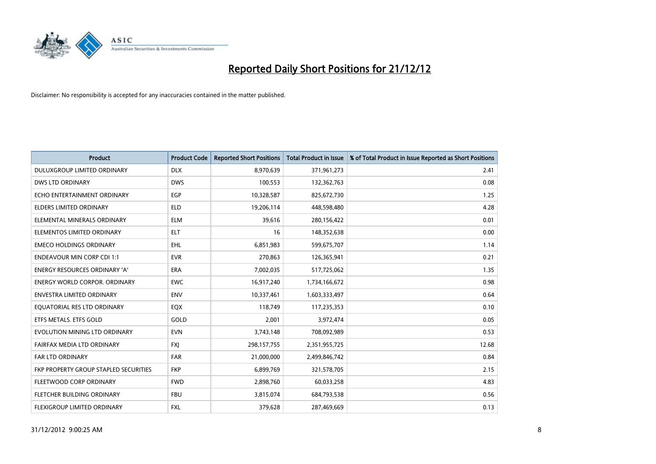

| <b>Product</b>                        | <b>Product Code</b> | <b>Reported Short Positions</b> | <b>Total Product in Issue</b> | % of Total Product in Issue Reported as Short Positions |
|---------------------------------------|---------------------|---------------------------------|-------------------------------|---------------------------------------------------------|
| DULUXGROUP LIMITED ORDINARY           | <b>DLX</b>          | 8,970,639                       | 371,961,273                   | 2.41                                                    |
| <b>DWS LTD ORDINARY</b>               | <b>DWS</b>          | 100,553                         | 132,362,763                   | 0.08                                                    |
| ECHO ENTERTAINMENT ORDINARY           | EGP                 | 10,328,587                      | 825,672,730                   | 1.25                                                    |
| ELDERS LIMITED ORDINARY               | <b>ELD</b>          | 19,206,114                      | 448,598,480                   | 4.28                                                    |
| ELEMENTAL MINERALS ORDINARY           | <b>ELM</b>          | 39.616                          | 280,156,422                   | 0.01                                                    |
| ELEMENTOS LIMITED ORDINARY            | <b>ELT</b>          | 16                              | 148,352,638                   | 0.00                                                    |
| <b>EMECO HOLDINGS ORDINARY</b>        | <b>EHL</b>          | 6,851,983                       | 599,675,707                   | 1.14                                                    |
| <b>ENDEAVOUR MIN CORP CDI 1:1</b>     | <b>EVR</b>          | 270,863                         | 126,365,941                   | 0.21                                                    |
| ENERGY RESOURCES ORDINARY 'A'         | <b>ERA</b>          | 7,002,035                       | 517,725,062                   | 1.35                                                    |
| <b>ENERGY WORLD CORPOR, ORDINARY</b>  | <b>EWC</b>          | 16,917,240                      | 1,734,166,672                 | 0.98                                                    |
| <b>ENVESTRA LIMITED ORDINARY</b>      | <b>ENV</b>          | 10,337,461                      | 1,603,333,497                 | 0.64                                                    |
| EQUATORIAL RES LTD ORDINARY           | EQX                 | 118,749                         | 117,235,353                   | 0.10                                                    |
| ETFS METALS. ETFS GOLD                | GOLD                | 2,001                           | 3,972,474                     | 0.05                                                    |
| EVOLUTION MINING LTD ORDINARY         | <b>EVN</b>          | 3,743,148                       | 708,092,989                   | 0.53                                                    |
| FAIRFAX MEDIA LTD ORDINARY            | <b>FXI</b>          | 298,157,755                     | 2,351,955,725                 | 12.68                                                   |
| <b>FAR LTD ORDINARY</b>               | <b>FAR</b>          | 21,000,000                      | 2,499,846,742                 | 0.84                                                    |
| FKP PROPERTY GROUP STAPLED SECURITIES | <b>FKP</b>          | 6,899,769                       | 321,578,705                   | 2.15                                                    |
| FLEETWOOD CORP ORDINARY               | <b>FWD</b>          | 2,898,760                       | 60,033,258                    | 4.83                                                    |
| FLETCHER BUILDING ORDINARY            | <b>FBU</b>          | 3,815,074                       | 684,793,538                   | 0.56                                                    |
| <b>FLEXIGROUP LIMITED ORDINARY</b>    | <b>FXL</b>          | 379.628                         | 287,469,669                   | 0.13                                                    |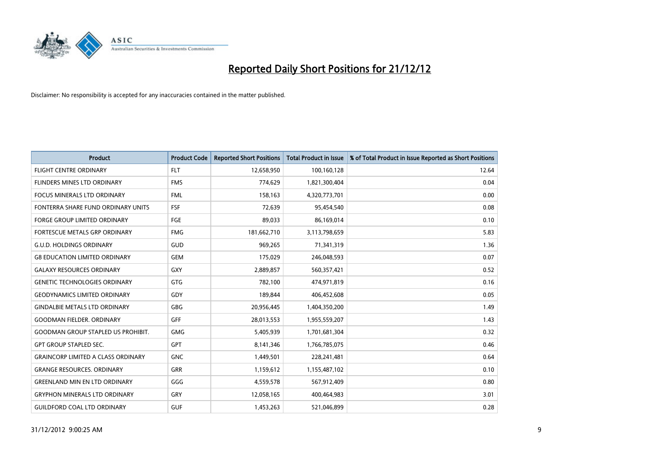

| <b>Product</b>                            | <b>Product Code</b> | <b>Reported Short Positions</b> | <b>Total Product in Issue</b> | % of Total Product in Issue Reported as Short Positions |
|-------------------------------------------|---------------------|---------------------------------|-------------------------------|---------------------------------------------------------|
| <b>FLIGHT CENTRE ORDINARY</b>             | <b>FLT</b>          | 12,658,950                      | 100,160,128                   | 12.64                                                   |
| FLINDERS MINES LTD ORDINARY               | <b>FMS</b>          | 774,629                         | 1,821,300,404                 | 0.04                                                    |
| <b>FOCUS MINERALS LTD ORDINARY</b>        | <b>FML</b>          | 158,163                         | 4,320,773,701                 | 0.00                                                    |
| FONTERRA SHARE FUND ORDINARY UNITS        | <b>FSF</b>          | 72,639                          | 95,454,540                    | 0.08                                                    |
| <b>FORGE GROUP LIMITED ORDINARY</b>       | FGE                 | 89,033                          | 86,169,014                    | 0.10                                                    |
| FORTESCUE METALS GRP ORDINARY             | <b>FMG</b>          | 181,662,710                     | 3,113,798,659                 | 5.83                                                    |
| <b>G.U.D. HOLDINGS ORDINARY</b>           | GUD                 | 969,265                         | 71,341,319                    | 1.36                                                    |
| <b>G8 EDUCATION LIMITED ORDINARY</b>      | <b>GEM</b>          | 175,029                         | 246,048,593                   | 0.07                                                    |
| <b>GALAXY RESOURCES ORDINARY</b>          | <b>GXY</b>          | 2,889,857                       | 560,357,421                   | 0.52                                                    |
| <b>GENETIC TECHNOLOGIES ORDINARY</b>      | <b>GTG</b>          | 782,100                         | 474,971,819                   | 0.16                                                    |
| <b>GEODYNAMICS LIMITED ORDINARY</b>       | GDY                 | 189,844                         | 406,452,608                   | 0.05                                                    |
| <b>GINDALBIE METALS LTD ORDINARY</b>      | <b>GBG</b>          | 20,956,445                      | 1,404,350,200                 | 1.49                                                    |
| <b>GOODMAN FIELDER, ORDINARY</b>          | GFF                 | 28,013,553                      | 1,955,559,207                 | 1.43                                                    |
| <b>GOODMAN GROUP STAPLED US PROHIBIT.</b> | <b>GMG</b>          | 5,405,939                       | 1,701,681,304                 | 0.32                                                    |
| <b>GPT GROUP STAPLED SEC.</b>             | <b>GPT</b>          | 8,141,346                       | 1,766,785,075                 | 0.46                                                    |
| <b>GRAINCORP LIMITED A CLASS ORDINARY</b> | <b>GNC</b>          | 1,449,501                       | 228,241,481                   | 0.64                                                    |
| <b>GRANGE RESOURCES, ORDINARY</b>         | <b>GRR</b>          | 1,159,612                       | 1,155,487,102                 | 0.10                                                    |
| <b>GREENLAND MIN EN LTD ORDINARY</b>      | GGG                 | 4,559,578                       | 567,912,409                   | 0.80                                                    |
| <b>GRYPHON MINERALS LTD ORDINARY</b>      | GRY                 | 12,058,165                      | 400,464,983                   | 3.01                                                    |
| <b>GUILDFORD COAL LTD ORDINARY</b>        | <b>GUF</b>          | 1,453,263                       | 521,046,899                   | 0.28                                                    |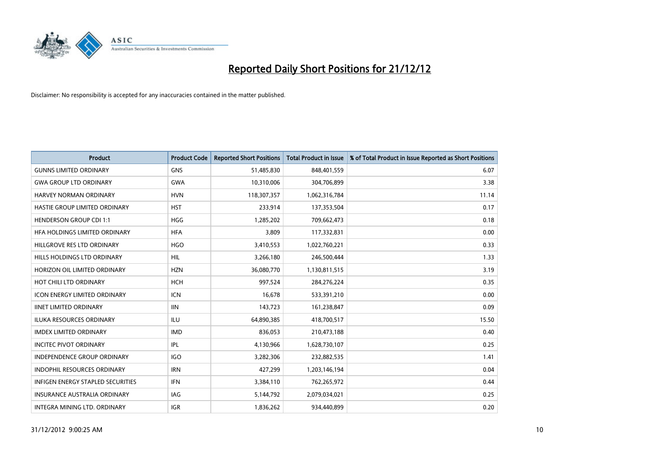

| <b>Product</b>                      | <b>Product Code</b> | <b>Reported Short Positions</b> | <b>Total Product in Issue</b> | % of Total Product in Issue Reported as Short Positions |
|-------------------------------------|---------------------|---------------------------------|-------------------------------|---------------------------------------------------------|
| <b>GUNNS LIMITED ORDINARY</b>       | <b>GNS</b>          | 51,485,830                      | 848,401,559                   | 6.07                                                    |
| <b>GWA GROUP LTD ORDINARY</b>       | <b>GWA</b>          | 10,310,006                      | 304,706,899                   | 3.38                                                    |
| HARVEY NORMAN ORDINARY              | <b>HVN</b>          | 118,307,357                     | 1,062,316,784                 | 11.14                                                   |
| HASTIE GROUP LIMITED ORDINARY       | <b>HST</b>          | 233,914                         | 137,353,504                   | 0.17                                                    |
| <b>HENDERSON GROUP CDI 1:1</b>      | <b>HGG</b>          | 1,285,202                       | 709,662,473                   | 0.18                                                    |
| HFA HOLDINGS LIMITED ORDINARY       | <b>HFA</b>          | 3,809                           | 117,332,831                   | 0.00                                                    |
| HILLGROVE RES LTD ORDINARY          | <b>HGO</b>          | 3,410,553                       | 1,022,760,221                 | 0.33                                                    |
| HILLS HOLDINGS LTD ORDINARY         | <b>HIL</b>          | 3,266,180                       | 246,500,444                   | 1.33                                                    |
| HORIZON OIL LIMITED ORDINARY        | <b>HZN</b>          | 36,080,770                      | 1,130,811,515                 | 3.19                                                    |
| HOT CHILI LTD ORDINARY              | <b>HCH</b>          | 997,524                         | 284,276,224                   | 0.35                                                    |
| <b>ICON ENERGY LIMITED ORDINARY</b> | <b>ICN</b>          | 16,678                          | 533,391,210                   | 0.00                                                    |
| <b>IINET LIMITED ORDINARY</b>       | <b>IIN</b>          | 143,723                         | 161,238,847                   | 0.09                                                    |
| <b>ILUKA RESOURCES ORDINARY</b>     | ILU                 | 64,890,385                      | 418,700,517                   | 15.50                                                   |
| <b>IMDEX LIMITED ORDINARY</b>       | <b>IMD</b>          | 836,053                         | 210,473,188                   | 0.40                                                    |
| <b>INCITEC PIVOT ORDINARY</b>       | IPL                 | 4,130,966                       | 1,628,730,107                 | 0.25                                                    |
| <b>INDEPENDENCE GROUP ORDINARY</b>  | <b>IGO</b>          | 3,282,306                       | 232,882,535                   | 1.41                                                    |
| <b>INDOPHIL RESOURCES ORDINARY</b>  | <b>IRN</b>          | 427,299                         | 1,203,146,194                 | 0.04                                                    |
| INFIGEN ENERGY STAPLED SECURITIES   | IFN                 | 3,384,110                       | 762,265,972                   | 0.44                                                    |
| <b>INSURANCE AUSTRALIA ORDINARY</b> | IAG                 | 5,144,792                       | 2,079,034,021                 | 0.25                                                    |
| INTEGRA MINING LTD. ORDINARY        | <b>IGR</b>          | 1,836,262                       | 934,440,899                   | 0.20                                                    |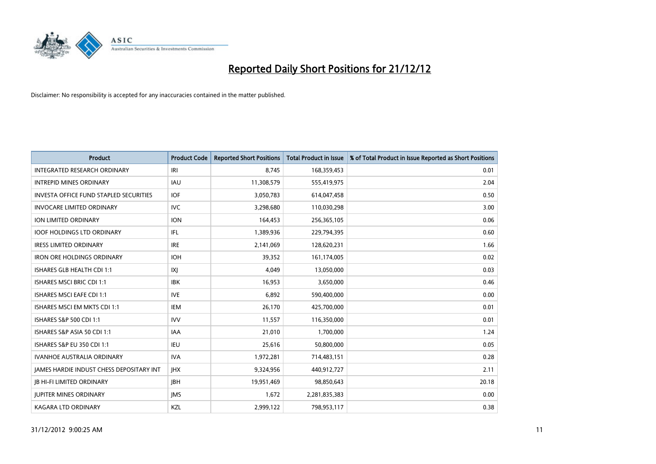

| <b>Product</b>                                  | <b>Product Code</b> | <b>Reported Short Positions</b> | <b>Total Product in Issue</b> | % of Total Product in Issue Reported as Short Positions |
|-------------------------------------------------|---------------------|---------------------------------|-------------------------------|---------------------------------------------------------|
| <b>INTEGRATED RESEARCH ORDINARY</b>             | IRI                 | 8,745                           | 168,359,453                   | 0.01                                                    |
| <b>INTREPID MINES ORDINARY</b>                  | <b>IAU</b>          | 11,308,579                      | 555,419,975                   | 2.04                                                    |
| <b>INVESTA OFFICE FUND STAPLED SECURITIES</b>   | <b>IOF</b>          | 3,050,783                       | 614,047,458                   | 0.50                                                    |
| <b>INVOCARE LIMITED ORDINARY</b>                | <b>IVC</b>          | 3,298,680                       | 110,030,298                   | 3.00                                                    |
| <b>ION LIMITED ORDINARY</b>                     | <b>ION</b>          | 164,453                         | 256,365,105                   | 0.06                                                    |
| <b>IOOF HOLDINGS LTD ORDINARY</b>               | IFL.                | 1,389,936                       | 229,794,395                   | 0.60                                                    |
| <b>IRESS LIMITED ORDINARY</b>                   | <b>IRE</b>          | 2,141,069                       | 128,620,231                   | 1.66                                                    |
| <b>IRON ORE HOLDINGS ORDINARY</b>               | <b>IOH</b>          | 39,352                          | 161,174,005                   | 0.02                                                    |
| ISHARES GLB HEALTH CDI 1:1                      | X                   | 4.049                           | 13,050,000                    | 0.03                                                    |
| <b>ISHARES MSCI BRIC CDI 1:1</b>                | <b>IBK</b>          | 16,953                          | 3,650,000                     | 0.46                                                    |
| ISHARES MSCI EAFE CDI 1:1                       | <b>IVE</b>          | 6,892                           | 590,400,000                   | 0.00                                                    |
| ISHARES MSCI EM MKTS CDI 1:1                    | IEM                 | 26,170                          | 425,700,000                   | 0.01                                                    |
| ISHARES S&P 500 CDI 1:1                         | <b>IVV</b>          | 11,557                          | 116,350,000                   | 0.01                                                    |
| ISHARES S&P ASIA 50 CDI 1:1                     | IAA                 | 21,010                          | 1,700,000                     | 1.24                                                    |
| ISHARES S&P EU 350 CDI 1:1                      | <b>IEU</b>          | 25,616                          | 50,800,000                    | 0.05                                                    |
| <b>IVANHOE AUSTRALIA ORDINARY</b>               | <b>IVA</b>          | 1,972,281                       | 714,483,151                   | 0.28                                                    |
| <b>JAMES HARDIE INDUST CHESS DEPOSITARY INT</b> | <b>IHX</b>          | 9,324,956                       | 440,912,727                   | 2.11                                                    |
| <b>IB HI-FI LIMITED ORDINARY</b>                | <b>IBH</b>          | 19,951,469                      | 98,850,643                    | 20.18                                                   |
| <b>JUPITER MINES ORDINARY</b>                   | <b>IMS</b>          | 1,672                           | 2,281,835,383                 | 0.00                                                    |
| KAGARA LTD ORDINARY                             | KZL                 | 2,999,122                       | 798,953,117                   | 0.38                                                    |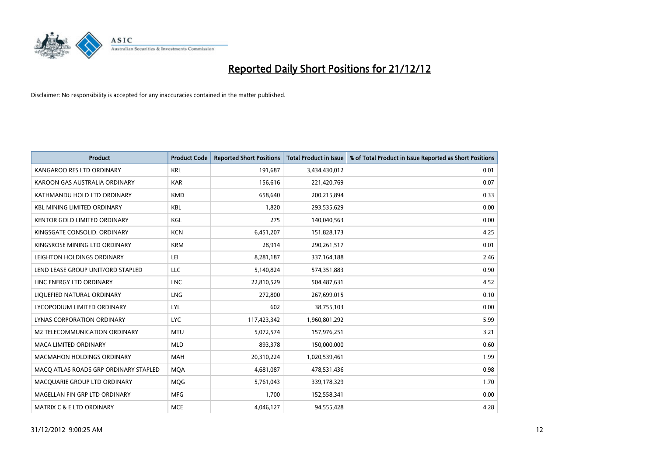

| <b>Product</b>                        | <b>Product Code</b> | <b>Reported Short Positions</b> | <b>Total Product in Issue</b> | % of Total Product in Issue Reported as Short Positions |
|---------------------------------------|---------------------|---------------------------------|-------------------------------|---------------------------------------------------------|
| KANGAROO RES LTD ORDINARY             | <b>KRL</b>          | 191,687                         | 3,434,430,012                 | 0.01                                                    |
| KAROON GAS AUSTRALIA ORDINARY         | <b>KAR</b>          | 156,616                         | 221,420,769                   | 0.07                                                    |
| KATHMANDU HOLD LTD ORDINARY           | <b>KMD</b>          | 658,640                         | 200,215,894                   | 0.33                                                    |
| <b>KBL MINING LIMITED ORDINARY</b>    | <b>KBL</b>          | 1,820                           | 293,535,629                   | 0.00                                                    |
| <b>KENTOR GOLD LIMITED ORDINARY</b>   | KGL                 | 275                             | 140,040,563                   | 0.00                                                    |
| KINGSGATE CONSOLID. ORDINARY          | <b>KCN</b>          | 6,451,207                       | 151,828,173                   | 4.25                                                    |
| KINGSROSE MINING LTD ORDINARY         | <b>KRM</b>          | 28,914                          | 290,261,517                   | 0.01                                                    |
| LEIGHTON HOLDINGS ORDINARY            | LEI                 | 8,281,187                       | 337,164,188                   | 2.46                                                    |
| LEND LEASE GROUP UNIT/ORD STAPLED     | LLC                 | 5,140,824                       | 574,351,883                   | 0.90                                                    |
| LINC ENERGY LTD ORDINARY              | <b>LNC</b>          | 22,810,529                      | 504,487,631                   | 4.52                                                    |
| LIQUEFIED NATURAL ORDINARY            | <b>LNG</b>          | 272,800                         | 267,699,015                   | 0.10                                                    |
| LYCOPODIUM LIMITED ORDINARY           | LYL                 | 602                             | 38,755,103                    | 0.00                                                    |
| LYNAS CORPORATION ORDINARY            | <b>LYC</b>          | 117,423,342                     | 1,960,801,292                 | 5.99                                                    |
| <b>M2 TELECOMMUNICATION ORDINARY</b>  | <b>MTU</b>          | 5,072,574                       | 157,976,251                   | 3.21                                                    |
| <b>MACA LIMITED ORDINARY</b>          | <b>MLD</b>          | 893,378                         | 150,000,000                   | 0.60                                                    |
| <b>MACMAHON HOLDINGS ORDINARY</b>     | <b>MAH</b>          | 20,310,224                      | 1,020,539,461                 | 1.99                                                    |
| MACO ATLAS ROADS GRP ORDINARY STAPLED | <b>MQA</b>          | 4,681,087                       | 478,531,436                   | 0.98                                                    |
| MACQUARIE GROUP LTD ORDINARY          | <b>MOG</b>          | 5,761,043                       | 339,178,329                   | 1.70                                                    |
| MAGELLAN FIN GRP LTD ORDINARY         | <b>MFG</b>          | 1,700                           | 152,558,341                   | 0.00                                                    |
| <b>MATRIX C &amp; E LTD ORDINARY</b>  | <b>MCE</b>          | 4,046,127                       | 94,555,428                    | 4.28                                                    |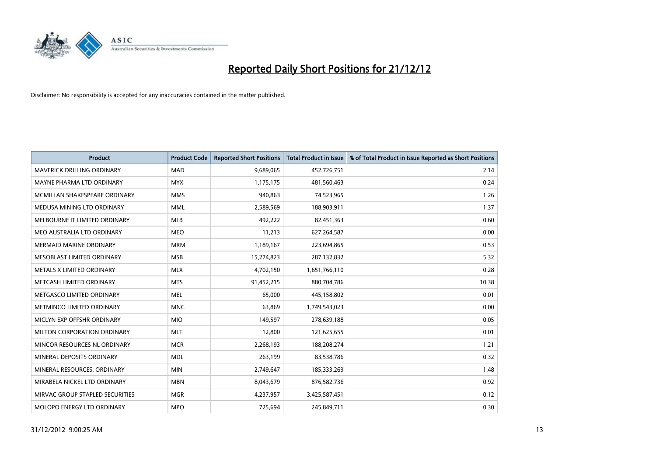

| <b>Product</b>                    | <b>Product Code</b> | <b>Reported Short Positions</b> | <b>Total Product in Issue</b> | % of Total Product in Issue Reported as Short Positions |
|-----------------------------------|---------------------|---------------------------------|-------------------------------|---------------------------------------------------------|
| <b>MAVERICK DRILLING ORDINARY</b> | <b>MAD</b>          | 9,689,065                       | 452,726,751                   | 2.14                                                    |
| MAYNE PHARMA LTD ORDINARY         | <b>MYX</b>          | 1,175,175                       | 481,560,463                   | 0.24                                                    |
| MCMILLAN SHAKESPEARE ORDINARY     | <b>MMS</b>          | 940,863                         | 74,523,965                    | 1.26                                                    |
| MEDUSA MINING LTD ORDINARY        | <b>MML</b>          | 2,589,569                       | 188,903,911                   | 1.37                                                    |
| MELBOURNE IT LIMITED ORDINARY     | MLB                 | 492,222                         | 82,451,363                    | 0.60                                                    |
| MEO AUSTRALIA LTD ORDINARY        | <b>MEO</b>          | 11,213                          | 627,264,587                   | 0.00                                                    |
| <b>MERMAID MARINE ORDINARY</b>    | <b>MRM</b>          | 1,189,167                       | 223,694,865                   | 0.53                                                    |
| MESOBLAST LIMITED ORDINARY        | <b>MSB</b>          | 15,274,823                      | 287,132,832                   | 5.32                                                    |
| METALS X LIMITED ORDINARY         | <b>MLX</b>          | 4,702,150                       | 1,651,766,110                 | 0.28                                                    |
| METCASH LIMITED ORDINARY          | <b>MTS</b>          | 91,452,215                      | 880,704,786                   | 10.38                                                   |
| METGASCO LIMITED ORDINARY         | <b>MEL</b>          | 65,000                          | 445,158,802                   | 0.01                                                    |
| METMINCO LIMITED ORDINARY         | <b>MNC</b>          | 63,869                          | 1,749,543,023                 | 0.00                                                    |
| MICLYN EXP OFFSHR ORDINARY        | <b>MIO</b>          | 149,597                         | 278,639,188                   | 0.05                                                    |
| MILTON CORPORATION ORDINARY       | <b>MLT</b>          | 12,800                          | 121,625,655                   | 0.01                                                    |
| MINCOR RESOURCES NL ORDINARY      | <b>MCR</b>          | 2,268,193                       | 188,208,274                   | 1.21                                                    |
| MINERAL DEPOSITS ORDINARY         | <b>MDL</b>          | 263,199                         | 83,538,786                    | 0.32                                                    |
| MINERAL RESOURCES. ORDINARY       | <b>MIN</b>          | 2,749,647                       | 185,333,269                   | 1.48                                                    |
| MIRABELA NICKEL LTD ORDINARY      | <b>MBN</b>          | 8,043,679                       | 876,582,736                   | 0.92                                                    |
| MIRVAC GROUP STAPLED SECURITIES   | <b>MGR</b>          | 4,237,957                       | 3,425,587,451                 | 0.12                                                    |
| MOLOPO ENERGY LTD ORDINARY        | <b>MPO</b>          | 725,694                         | 245,849,711                   | 0.30                                                    |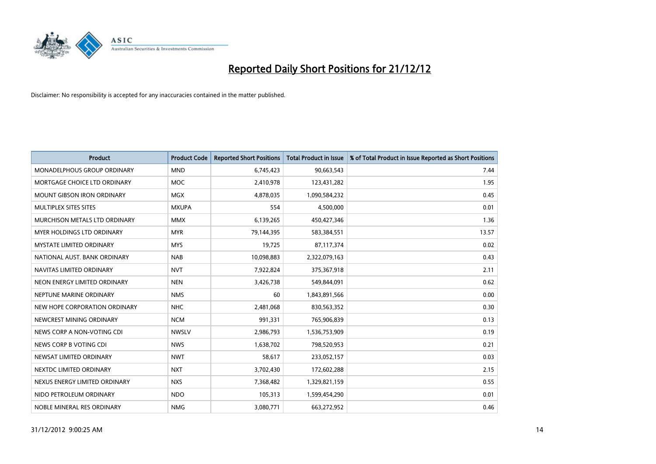

| <b>Product</b>                     | <b>Product Code</b> | <b>Reported Short Positions</b> | <b>Total Product in Issue</b> | % of Total Product in Issue Reported as Short Positions |
|------------------------------------|---------------------|---------------------------------|-------------------------------|---------------------------------------------------------|
| <b>MONADELPHOUS GROUP ORDINARY</b> | <b>MND</b>          | 6,745,423                       | 90,663,543                    | 7.44                                                    |
| MORTGAGE CHOICE LTD ORDINARY       | <b>MOC</b>          | 2,410,978                       | 123,431,282                   | 1.95                                                    |
| <b>MOUNT GIBSON IRON ORDINARY</b>  | <b>MGX</b>          | 4,878,035                       | 1,090,584,232                 | 0.45                                                    |
| MULTIPLEX SITES SITES              | <b>MXUPA</b>        | 554                             | 4,500,000                     | 0.01                                                    |
| MURCHISON METALS LTD ORDINARY      | <b>MMX</b>          | 6,139,265                       | 450,427,346                   | 1.36                                                    |
| MYER HOLDINGS LTD ORDINARY         | <b>MYR</b>          | 79,144,395                      | 583,384,551                   | 13.57                                                   |
| <b>MYSTATE LIMITED ORDINARY</b>    | <b>MYS</b>          | 19,725                          | 87,117,374                    | 0.02                                                    |
| NATIONAL AUST. BANK ORDINARY       | <b>NAB</b>          | 10,098,883                      | 2,322,079,163                 | 0.43                                                    |
| NAVITAS LIMITED ORDINARY           | <b>NVT</b>          | 7,922,824                       | 375,367,918                   | 2.11                                                    |
| NEON ENERGY LIMITED ORDINARY       | <b>NEN</b>          | 3,426,738                       | 549,844,091                   | 0.62                                                    |
| NEPTUNE MARINE ORDINARY            | <b>NMS</b>          | 60                              | 1,843,891,566                 | 0.00                                                    |
| NEW HOPE CORPORATION ORDINARY      | <b>NHC</b>          | 2,481,068                       | 830,563,352                   | 0.30                                                    |
| NEWCREST MINING ORDINARY           | <b>NCM</b>          | 991,331                         | 765,906,839                   | 0.13                                                    |
| NEWS CORP A NON-VOTING CDI         | <b>NWSLV</b>        | 2,986,793                       | 1,536,753,909                 | 0.19                                                    |
| NEWS CORP B VOTING CDI             | <b>NWS</b>          | 1,638,702                       | 798,520,953                   | 0.21                                                    |
| NEWSAT LIMITED ORDINARY            | <b>NWT</b>          | 58,617                          | 233,052,157                   | 0.03                                                    |
| NEXTDC LIMITED ORDINARY            | <b>NXT</b>          | 3,702,430                       | 172,602,288                   | 2.15                                                    |
| NEXUS ENERGY LIMITED ORDINARY      | <b>NXS</b>          | 7,368,482                       | 1,329,821,159                 | 0.55                                                    |
| NIDO PETROLEUM ORDINARY            | <b>NDO</b>          | 105,313                         | 1,599,454,290                 | 0.01                                                    |
| NOBLE MINERAL RES ORDINARY         | <b>NMG</b>          | 3,080,771                       | 663,272,952                   | 0.46                                                    |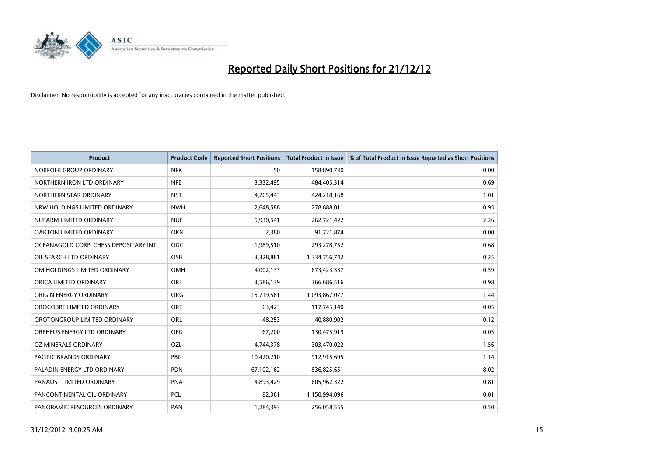

| <b>Product</b>                        | <b>Product Code</b> | <b>Reported Short Positions</b> | <b>Total Product in Issue</b> | % of Total Product in Issue Reported as Short Positions |
|---------------------------------------|---------------------|---------------------------------|-------------------------------|---------------------------------------------------------|
| NORFOLK GROUP ORDINARY                | <b>NFK</b>          | 50                              | 158,890,730                   | 0.00                                                    |
| NORTHERN IRON LTD ORDINARY            | <b>NFE</b>          | 3,332,495                       | 484,405,314                   | 0.69                                                    |
| NORTHERN STAR ORDINARY                | <b>NST</b>          | 4,265,443                       | 424,218,168                   | 1.01                                                    |
| NRW HOLDINGS LIMITED ORDINARY         | <b>NWH</b>          | 2,648,588                       | 278,888,011                   | 0.95                                                    |
| NUFARM LIMITED ORDINARY               | <b>NUF</b>          | 5,930,541                       | 262,721,422                   | 2.26                                                    |
| OAKTON LIMITED ORDINARY               | <b>OKN</b>          | 2,380                           | 91,721,874                    | 0.00                                                    |
| OCEANAGOLD CORP. CHESS DEPOSITARY INT | <b>OGC</b>          | 1,989,510                       | 293,278,752                   | 0.68                                                    |
| OIL SEARCH LTD ORDINARY               | OSH                 | 3,328,881                       | 1,334,756,742                 | 0.25                                                    |
| OM HOLDINGS LIMITED ORDINARY          | OMH                 | 4,002,133                       | 673,423,337                   | 0.59                                                    |
| ORICA LIMITED ORDINARY                | ORI                 | 3,586,139                       | 366,686,516                   | 0.98                                                    |
| ORIGIN ENERGY ORDINARY                | <b>ORG</b>          | 15,719,561                      | 1,093,867,077                 | 1.44                                                    |
| OROCOBRE LIMITED ORDINARY             | <b>ORE</b>          | 63,423                          | 117,745,140                   | 0.05                                                    |
| OROTONGROUP LIMITED ORDINARY          | ORL                 | 48,253                          | 40,880,902                    | 0.12                                                    |
| ORPHEUS ENERGY LTD ORDINARY           | <b>OEG</b>          | 67,200                          | 130,475,919                   | 0.05                                                    |
| OZ MINERALS ORDINARY                  | OZL                 | 4,744,378                       | 303,470,022                   | 1.56                                                    |
| <b>PACIFIC BRANDS ORDINARY</b>        | <b>PBG</b>          | 10,420,210                      | 912,915,695                   | 1.14                                                    |
| PALADIN ENERGY LTD ORDINARY           | <b>PDN</b>          | 67,102,162                      | 836,825,651                   | 8.02                                                    |
| PANAUST LIMITED ORDINARY              | <b>PNA</b>          | 4,893,429                       | 605,962,322                   | 0.81                                                    |
| PANCONTINENTAL OIL ORDINARY           | <b>PCL</b>          | 82,361                          | 1,150,994,096                 | 0.01                                                    |
| PANORAMIC RESOURCES ORDINARY          | PAN                 | 1,284,393                       | 256,058,555                   | 0.50                                                    |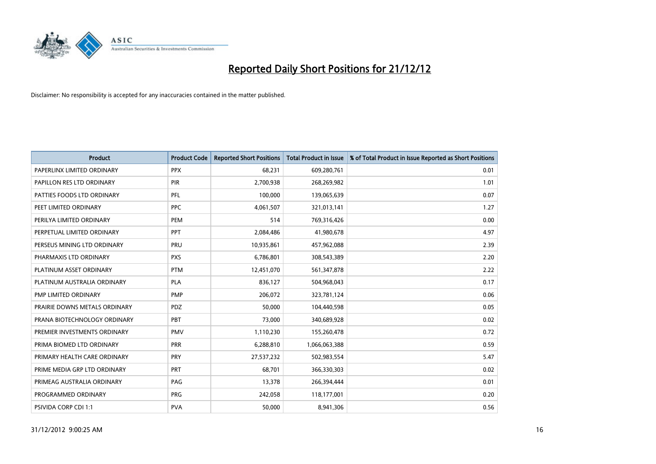

| <b>Product</b>                | <b>Product Code</b> | <b>Reported Short Positions</b> | <b>Total Product in Issue</b> | % of Total Product in Issue Reported as Short Positions |
|-------------------------------|---------------------|---------------------------------|-------------------------------|---------------------------------------------------------|
| PAPERLINX LIMITED ORDINARY    | <b>PPX</b>          | 68,231                          | 609,280,761                   | 0.01                                                    |
| PAPILLON RES LTD ORDINARY     | PIR                 | 2,700,938                       | 268,269,982                   | 1.01                                                    |
| PATTIES FOODS LTD ORDINARY    | PFL                 | 100,000                         | 139,065,639                   | 0.07                                                    |
| PEET LIMITED ORDINARY         | <b>PPC</b>          | 4,061,507                       | 321,013,141                   | 1.27                                                    |
| PERILYA LIMITED ORDINARY      | PEM                 | 514                             | 769,316,426                   | 0.00                                                    |
| PERPETUAL LIMITED ORDINARY    | PPT                 | 2,084,486                       | 41,980,678                    | 4.97                                                    |
| PERSEUS MINING LTD ORDINARY   | <b>PRU</b>          | 10,935,861                      | 457,962,088                   | 2.39                                                    |
| PHARMAXIS LTD ORDINARY        | <b>PXS</b>          | 6,786,801                       | 308,543,389                   | 2.20                                                    |
| PLATINUM ASSET ORDINARY       | <b>PTM</b>          | 12,451,070                      | 561,347,878                   | 2.22                                                    |
| PLATINUM AUSTRALIA ORDINARY   | <b>PLA</b>          | 836,127                         | 504,968,043                   | 0.17                                                    |
| PMP LIMITED ORDINARY          | <b>PMP</b>          | 206,072                         | 323,781,124                   | 0.06                                                    |
| PRAIRIE DOWNS METALS ORDINARY | PDZ                 | 50,000                          | 104,440,598                   | 0.05                                                    |
| PRANA BIOTECHNOLOGY ORDINARY  | PBT                 | 73,000                          | 340,689,928                   | 0.02                                                    |
| PREMIER INVESTMENTS ORDINARY  | <b>PMV</b>          | 1,110,230                       | 155,260,478                   | 0.72                                                    |
| PRIMA BIOMED LTD ORDINARY     | <b>PRR</b>          | 6,288,810                       | 1,066,063,388                 | 0.59                                                    |
| PRIMARY HEALTH CARE ORDINARY  | <b>PRY</b>          | 27,537,232                      | 502,983,554                   | 5.47                                                    |
| PRIME MEDIA GRP LTD ORDINARY  | PRT                 | 68,701                          | 366,330,303                   | 0.02                                                    |
| PRIMEAG AUSTRALIA ORDINARY    | PAG                 | 13,378                          | 266,394,444                   | 0.01                                                    |
| PROGRAMMED ORDINARY           | <b>PRG</b>          | 242,058                         | 118,177,001                   | 0.20                                                    |
| PSIVIDA CORP CDI 1:1          | <b>PVA</b>          | 50,000                          | 8,941,306                     | 0.56                                                    |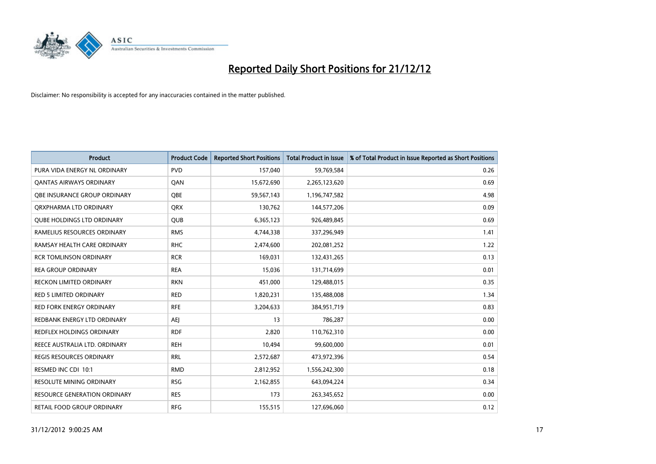

| <b>Product</b>                      | <b>Product Code</b> | <b>Reported Short Positions</b> | <b>Total Product in Issue</b> | % of Total Product in Issue Reported as Short Positions |
|-------------------------------------|---------------------|---------------------------------|-------------------------------|---------------------------------------------------------|
| PURA VIDA ENERGY NL ORDINARY        | <b>PVD</b>          | 157,040                         | 59,769,584                    | 0.26                                                    |
| <b>QANTAS AIRWAYS ORDINARY</b>      | QAN                 | 15,672,690                      | 2,265,123,620                 | 0.69                                                    |
| OBE INSURANCE GROUP ORDINARY        | <b>OBE</b>          | 59,567,143                      | 1,196,747,582                 | 4.98                                                    |
| ORXPHARMA LTD ORDINARY              | <b>QRX</b>          | 130,762                         | 144,577,206                   | 0.09                                                    |
| <b>OUBE HOLDINGS LTD ORDINARY</b>   | <b>QUB</b>          | 6,365,123                       | 926,489,845                   | 0.69                                                    |
| RAMELIUS RESOURCES ORDINARY         | <b>RMS</b>          | 4,744,338                       | 337,296,949                   | 1.41                                                    |
| RAMSAY HEALTH CARE ORDINARY         | <b>RHC</b>          | 2,474,600                       | 202,081,252                   | 1.22                                                    |
| <b>RCR TOMLINSON ORDINARY</b>       | <b>RCR</b>          | 169,031                         | 132,431,265                   | 0.13                                                    |
| <b>REA GROUP ORDINARY</b>           | <b>REA</b>          | 15,036                          | 131,714,699                   | 0.01                                                    |
| <b>RECKON LIMITED ORDINARY</b>      | <b>RKN</b>          | 451,000                         | 129,488,015                   | 0.35                                                    |
| <b>RED 5 LIMITED ORDINARY</b>       | <b>RED</b>          | 1,820,231                       | 135,488,008                   | 1.34                                                    |
| <b>RED FORK ENERGY ORDINARY</b>     | <b>RFE</b>          | 3,204,633                       | 384,951,719                   | 0.83                                                    |
| REDBANK ENERGY LTD ORDINARY         | AEI                 | 13                              | 786,287                       | 0.00                                                    |
| REDFLEX HOLDINGS ORDINARY           | <b>RDF</b>          | 2,820                           | 110,762,310                   | 0.00                                                    |
| REECE AUSTRALIA LTD. ORDINARY       | <b>REH</b>          | 10,494                          | 99,600,000                    | 0.01                                                    |
| <b>REGIS RESOURCES ORDINARY</b>     | <b>RRL</b>          | 2,572,687                       | 473,972,396                   | 0.54                                                    |
| RESMED INC CDI 10:1                 | <b>RMD</b>          | 2,812,952                       | 1,556,242,300                 | 0.18                                                    |
| <b>RESOLUTE MINING ORDINARY</b>     | <b>RSG</b>          | 2,162,855                       | 643,094,224                   | 0.34                                                    |
| <b>RESOURCE GENERATION ORDINARY</b> | <b>RES</b>          | 173                             | 263,345,652                   | 0.00                                                    |
| RETAIL FOOD GROUP ORDINARY          | <b>RFG</b>          | 155,515                         | 127,696,060                   | 0.12                                                    |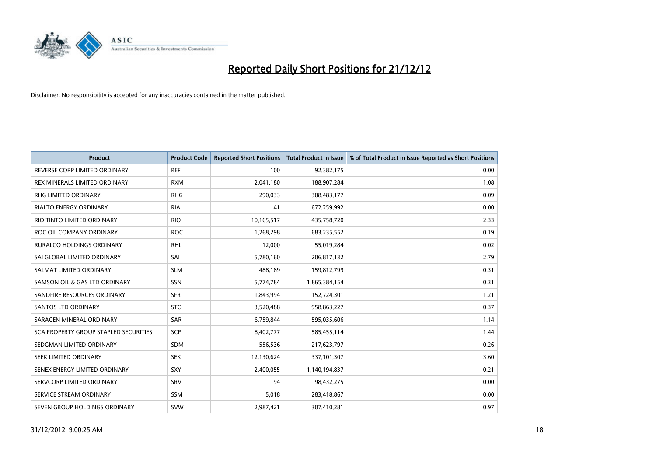

| <b>Product</b>                               | <b>Product Code</b> | <b>Reported Short Positions</b> | <b>Total Product in Issue</b> | % of Total Product in Issue Reported as Short Positions |
|----------------------------------------------|---------------------|---------------------------------|-------------------------------|---------------------------------------------------------|
| REVERSE CORP LIMITED ORDINARY                | <b>REF</b>          | 100                             | 92,382,175                    | 0.00                                                    |
| <b>REX MINERALS LIMITED ORDINARY</b>         | <b>RXM</b>          | 2,041,180                       | 188,907,284                   | 1.08                                                    |
| <b>RHG LIMITED ORDINARY</b>                  | <b>RHG</b>          | 290,033                         | 308,483,177                   | 0.09                                                    |
| RIALTO ENERGY ORDINARY                       | <b>RIA</b>          | 41                              | 672,259,992                   | 0.00                                                    |
| RIO TINTO LIMITED ORDINARY                   | <b>RIO</b>          | 10,165,517                      | 435,758,720                   | 2.33                                                    |
| ROC OIL COMPANY ORDINARY                     | <b>ROC</b>          | 1,268,298                       | 683,235,552                   | 0.19                                                    |
| <b>RURALCO HOLDINGS ORDINARY</b>             | <b>RHL</b>          | 12,000                          | 55,019,284                    | 0.02                                                    |
| SAI GLOBAL LIMITED ORDINARY                  | SAI                 | 5,780,160                       | 206,817,132                   | 2.79                                                    |
| SALMAT LIMITED ORDINARY                      | <b>SLM</b>          | 488,189                         | 159,812,799                   | 0.31                                                    |
| SAMSON OIL & GAS LTD ORDINARY                | <b>SSN</b>          | 5,774,784                       | 1,865,384,154                 | 0.31                                                    |
| SANDFIRE RESOURCES ORDINARY                  | <b>SFR</b>          | 1,843,994                       | 152,724,301                   | 1.21                                                    |
| <b>SANTOS LTD ORDINARY</b>                   | <b>STO</b>          | 3,520,488                       | 958,863,227                   | 0.37                                                    |
| SARACEN MINERAL ORDINARY                     | SAR                 | 6,759,844                       | 595,035,606                   | 1.14                                                    |
| <b>SCA PROPERTY GROUP STAPLED SECURITIES</b> | SCP                 | 8,402,777                       | 585,455,114                   | 1.44                                                    |
| SEDGMAN LIMITED ORDINARY                     | <b>SDM</b>          | 556,536                         | 217,623,797                   | 0.26                                                    |
| SEEK LIMITED ORDINARY                        | <b>SEK</b>          | 12,130,624                      | 337,101,307                   | 3.60                                                    |
| SENEX ENERGY LIMITED ORDINARY                | <b>SXY</b>          | 2,400,055                       | 1,140,194,837                 | 0.21                                                    |
| SERVCORP LIMITED ORDINARY                    | SRV                 | 94                              | 98,432,275                    | 0.00                                                    |
| SERVICE STREAM ORDINARY                      | <b>SSM</b>          | 5,018                           | 283,418,867                   | 0.00                                                    |
| SEVEN GROUP HOLDINGS ORDINARY                | <b>SVW</b>          | 2,987,421                       | 307,410,281                   | 0.97                                                    |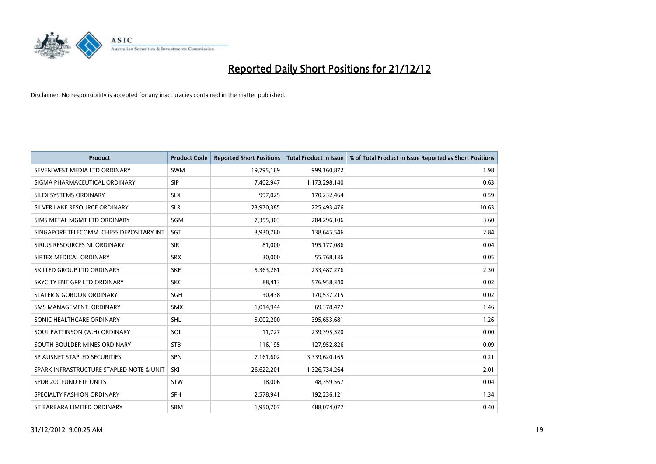

| <b>Product</b>                           | <b>Product Code</b> | <b>Reported Short Positions</b> | <b>Total Product in Issue</b> | % of Total Product in Issue Reported as Short Positions |
|------------------------------------------|---------------------|---------------------------------|-------------------------------|---------------------------------------------------------|
| SEVEN WEST MEDIA LTD ORDINARY            | <b>SWM</b>          | 19,795,169                      | 999,160,872                   | 1.98                                                    |
| SIGMA PHARMACEUTICAL ORDINARY            | <b>SIP</b>          | 7,402,947                       | 1,173,298,140                 | 0.63                                                    |
| SILEX SYSTEMS ORDINARY                   | <b>SLX</b>          | 997,025                         | 170,232,464                   | 0.59                                                    |
| SILVER LAKE RESOURCE ORDINARY            | <b>SLR</b>          | 23,970,385                      | 225,493,476                   | 10.63                                                   |
| SIMS METAL MGMT LTD ORDINARY             | SGM                 | 7,355,303                       | 204,296,106                   | 3.60                                                    |
| SINGAPORE TELECOMM. CHESS DEPOSITARY INT | <b>SGT</b>          | 3,930,760                       | 138,645,546                   | 2.84                                                    |
| SIRIUS RESOURCES NL ORDINARY             | <b>SIR</b>          | 81,000                          | 195,177,086                   | 0.04                                                    |
| SIRTEX MEDICAL ORDINARY                  | <b>SRX</b>          | 30,000                          | 55,768,136                    | 0.05                                                    |
| SKILLED GROUP LTD ORDINARY               | <b>SKE</b>          | 5,363,281                       | 233,487,276                   | 2.30                                                    |
| SKYCITY ENT GRP LTD ORDINARY             | <b>SKC</b>          | 88,413                          | 576,958,340                   | 0.02                                                    |
| <b>SLATER &amp; GORDON ORDINARY</b>      | <b>SGH</b>          | 30,438                          | 170,537,215                   | 0.02                                                    |
| SMS MANAGEMENT, ORDINARY                 | <b>SMX</b>          | 1,014,944                       | 69,378,477                    | 1.46                                                    |
| SONIC HEALTHCARE ORDINARY                | <b>SHL</b>          | 5,002,200                       | 395,653,681                   | 1.26                                                    |
| SOUL PATTINSON (W.H) ORDINARY            | SOL                 | 11,727                          | 239,395,320                   | 0.00                                                    |
| SOUTH BOULDER MINES ORDINARY             | <b>STB</b>          | 116,195                         | 127,952,826                   | 0.09                                                    |
| SP AUSNET STAPLED SECURITIES             | <b>SPN</b>          | 7,161,602                       | 3,339,620,165                 | 0.21                                                    |
| SPARK INFRASTRUCTURE STAPLED NOTE & UNIT | SKI                 | 26,622,201                      | 1,326,734,264                 | 2.01                                                    |
| SPDR 200 FUND ETF UNITS                  | <b>STW</b>          | 18,006                          | 48,359,567                    | 0.04                                                    |
| SPECIALTY FASHION ORDINARY               | <b>SFH</b>          | 2,578,941                       | 192,236,121                   | 1.34                                                    |
| ST BARBARA LIMITED ORDINARY              | <b>SBM</b>          | 1,950,707                       | 488,074,077                   | 0.40                                                    |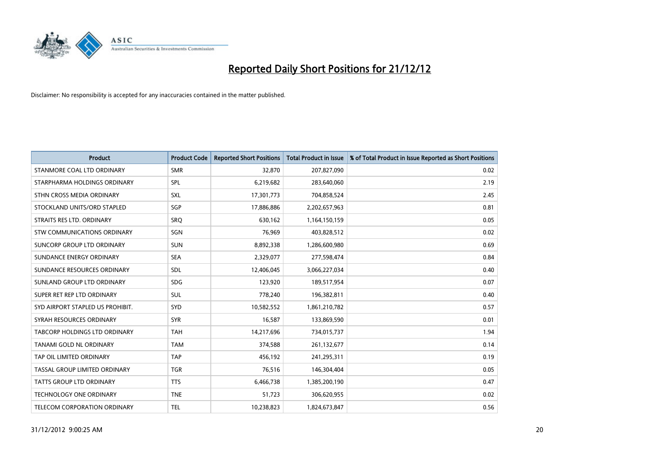

| <b>Product</b>                       | <b>Product Code</b> | <b>Reported Short Positions</b> | <b>Total Product in Issue</b> | % of Total Product in Issue Reported as Short Positions |
|--------------------------------------|---------------------|---------------------------------|-------------------------------|---------------------------------------------------------|
| STANMORE COAL LTD ORDINARY           | <b>SMR</b>          | 32,870                          | 207,827,090                   | 0.02                                                    |
| STARPHARMA HOLDINGS ORDINARY         | <b>SPL</b>          | 6,219,682                       | 283,640,060                   | 2.19                                                    |
| STHN CROSS MEDIA ORDINARY            | <b>SXL</b>          | 17,301,773                      | 704,858,524                   | 2.45                                                    |
| STOCKLAND UNITS/ORD STAPLED          | SGP                 | 17,886,886                      | 2,202,657,963                 | 0.81                                                    |
| STRAITS RES LTD. ORDINARY            | SRO                 | 630,162                         | 1,164,150,159                 | 0.05                                                    |
| <b>STW COMMUNICATIONS ORDINARY</b>   | SGN                 | 76,969                          | 403,828,512                   | 0.02                                                    |
| SUNCORP GROUP LTD ORDINARY           | <b>SUN</b>          | 8,892,338                       | 1,286,600,980                 | 0.69                                                    |
| SUNDANCE ENERGY ORDINARY             | <b>SEA</b>          | 2,329,077                       | 277,598,474                   | 0.84                                                    |
| SUNDANCE RESOURCES ORDINARY          | <b>SDL</b>          | 12,406,045                      | 3,066,227,034                 | 0.40                                                    |
| SUNLAND GROUP LTD ORDINARY           | <b>SDG</b>          | 123,920                         | 189,517,954                   | 0.07                                                    |
| SUPER RET REP LTD ORDINARY           | <b>SUL</b>          | 778,240                         | 196,382,811                   | 0.40                                                    |
| SYD AIRPORT STAPLED US PROHIBIT.     | <b>SYD</b>          | 10,582,552                      | 1,861,210,782                 | 0.57                                                    |
| SYRAH RESOURCES ORDINARY             | <b>SYR</b>          | 16,587                          | 133,869,590                   | 0.01                                                    |
| <b>TABCORP HOLDINGS LTD ORDINARY</b> | <b>TAH</b>          | 14,217,696                      | 734,015,737                   | 1.94                                                    |
| TANAMI GOLD NL ORDINARY              | <b>TAM</b>          | 374,588                         | 261,132,677                   | 0.14                                                    |
| TAP OIL LIMITED ORDINARY             | <b>TAP</b>          | 456,192                         | 241,295,311                   | 0.19                                                    |
| TASSAL GROUP LIMITED ORDINARY        | <b>TGR</b>          | 76,516                          | 146,304,404                   | 0.05                                                    |
| <b>TATTS GROUP LTD ORDINARY</b>      | <b>TTS</b>          | 6,466,738                       | 1,385,200,190                 | 0.47                                                    |
| <b>TECHNOLOGY ONE ORDINARY</b>       | <b>TNE</b>          | 51,723                          | 306,620,955                   | 0.02                                                    |
| TELECOM CORPORATION ORDINARY         | <b>TEL</b>          | 10,238,823                      | 1,824,673,847                 | 0.56                                                    |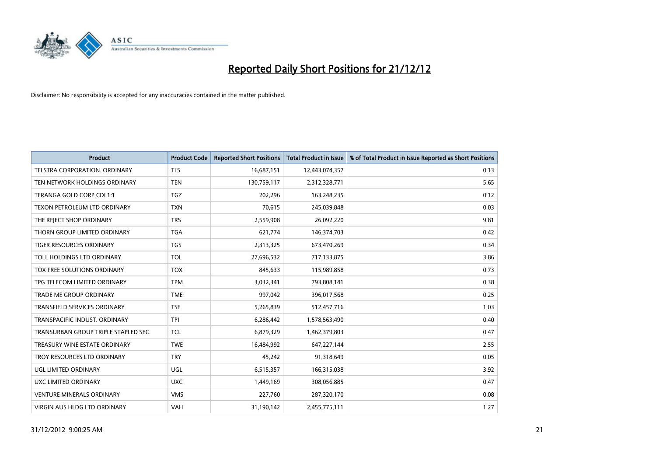

| <b>Product</b>                       | <b>Product Code</b> | <b>Reported Short Positions</b> | <b>Total Product in Issue</b> | % of Total Product in Issue Reported as Short Positions |
|--------------------------------------|---------------------|---------------------------------|-------------------------------|---------------------------------------------------------|
| <b>TELSTRA CORPORATION, ORDINARY</b> | <b>TLS</b>          | 16,687,151                      | 12,443,074,357                | 0.13                                                    |
| TEN NETWORK HOLDINGS ORDINARY        | <b>TEN</b>          | 130,759,117                     | 2,312,328,771                 | 5.65                                                    |
| TERANGA GOLD CORP CDI 1:1            | <b>TGZ</b>          | 202,296                         | 163,248,235                   | 0.12                                                    |
| TEXON PETROLEUM LTD ORDINARY         | <b>TXN</b>          | 70,615                          | 245,039,848                   | 0.03                                                    |
| THE REJECT SHOP ORDINARY             | <b>TRS</b>          | 2,559,908                       | 26,092,220                    | 9.81                                                    |
| THORN GROUP LIMITED ORDINARY         | <b>TGA</b>          | 621,774                         | 146,374,703                   | 0.42                                                    |
| <b>TIGER RESOURCES ORDINARY</b>      | <b>TGS</b>          | 2,313,325                       | 673,470,269                   | 0.34                                                    |
| TOLL HOLDINGS LTD ORDINARY           | <b>TOL</b>          | 27,696,532                      | 717,133,875                   | 3.86                                                    |
| TOX FREE SOLUTIONS ORDINARY          | <b>TOX</b>          | 845,633                         | 115,989,858                   | 0.73                                                    |
| TPG TELECOM LIMITED ORDINARY         | <b>TPM</b>          | 3,032,341                       | 793,808,141                   | 0.38                                                    |
| <b>TRADE ME GROUP ORDINARY</b>       | <b>TME</b>          | 997,042                         | 396,017,568                   | 0.25                                                    |
| <b>TRANSFIELD SERVICES ORDINARY</b>  | <b>TSE</b>          | 5,265,839                       | 512,457,716                   | 1.03                                                    |
| TRANSPACIFIC INDUST, ORDINARY        | <b>TPI</b>          | 6,286,442                       | 1,578,563,490                 | 0.40                                                    |
| TRANSURBAN GROUP TRIPLE STAPLED SEC. | <b>TCL</b>          | 6,879,329                       | 1,462,379,803                 | 0.47                                                    |
| TREASURY WINE ESTATE ORDINARY        | <b>TWE</b>          | 16,484,992                      | 647,227,144                   | 2.55                                                    |
| TROY RESOURCES LTD ORDINARY          | <b>TRY</b>          | 45,242                          | 91,318,649                    | 0.05                                                    |
| UGL LIMITED ORDINARY                 | <b>UGL</b>          | 6,515,357                       | 166,315,038                   | 3.92                                                    |
| UXC LIMITED ORDINARY                 | <b>UXC</b>          | 1,449,169                       | 308,056,885                   | 0.47                                                    |
| <b>VENTURE MINERALS ORDINARY</b>     | <b>VMS</b>          | 227,760                         | 287,320,170                   | 0.08                                                    |
| VIRGIN AUS HLDG LTD ORDINARY         | <b>VAH</b>          | 31,190,142                      | 2,455,775,111                 | 1.27                                                    |